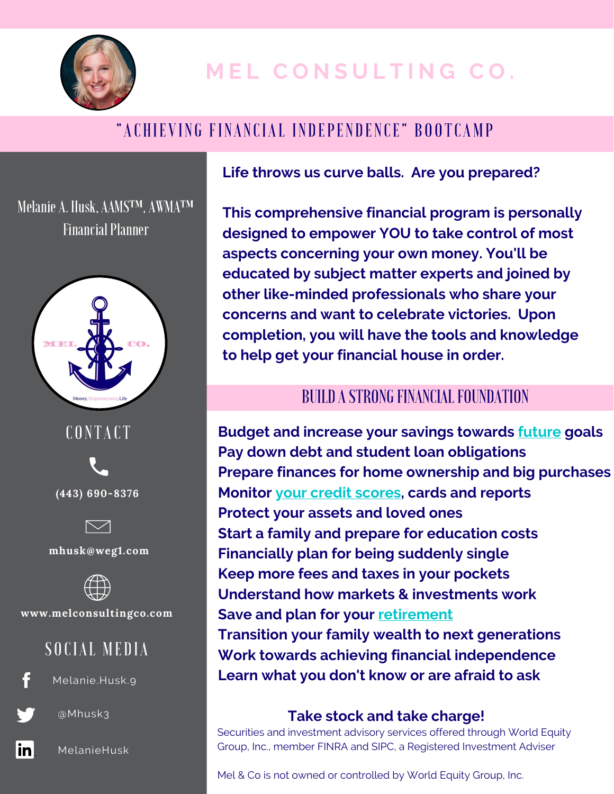

# **M E L C O N S U L T I N G C O .**

## "A CHIEVING FINANCIAL INDEPENDENCE" BOOTCAMP

Melanie A. Husk, AAMS™, AWMA™ **Financial Planner** 



**CONTACT** 





**mhusk@weg1.com**



**www.melconsultingco.com**

### SOCIAL MEDIA



Melanie.Husk.9



@Mhusk3



MelanieHusk

**Life throws us curve balls. Are you prepared?**

**This comprehensive financial program is personally designed to empower YOU to take control of most aspects concerning your own money. You'll be educated by subject matter experts and joined by other like-minded professionals who share your concerns and want to celebrate victories. Upon completion, you will have the tools and knowledge to help get your financial house in order.**

### BUILD A STRONG FINANCIAL FOUNDATION

**Budget and increase your savings towards future goals Pay down debt and student loan obligations Prepare finances for home ownership and big purchases Monitor your credit scores, cards and reports Protect your assets and loved ones Start a family and prepare for education costs Financially plan for being suddenly single Keep more fees and taxes in your pockets Understand how markets & investments work Save and plan for your retirement Transition your family wealth to next generations Work towards achieving financial independence Learn what you don't know or are afraid to ask**

#### **Take stock and take charge!**

Securities and investment advisory services offered through World Equity Group, Inc., member FINRA and SIPC, a Registered Investment Adviser

Mel & Co is not owned or controlled by World Equity Group, Inc.